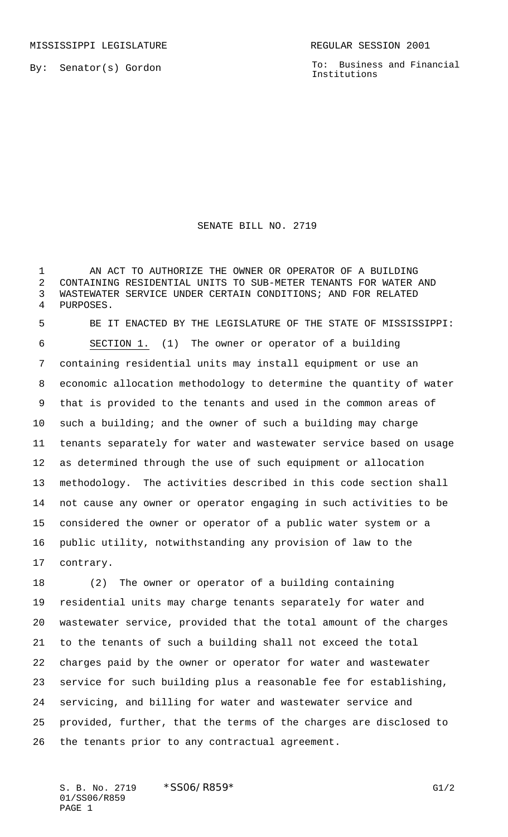By: Senator(s) Gordon

To: Business and Financial Institutions

## SENATE BILL NO. 2719

 AN ACT TO AUTHORIZE THE OWNER OR OPERATOR OF A BUILDING CONTAINING RESIDENTIAL UNITS TO SUB-METER TENANTS FOR WATER AND WASTEWATER SERVICE UNDER CERTAIN CONDITIONS; AND FOR RELATED PURPOSES.

 BE IT ENACTED BY THE LEGISLATURE OF THE STATE OF MISSISSIPPI: SECTION 1. (1) The owner or operator of a building containing residential units may install equipment or use an economic allocation methodology to determine the quantity of water that is provided to the tenants and used in the common areas of such a building; and the owner of such a building may charge tenants separately for water and wastewater service based on usage as determined through the use of such equipment or allocation methodology. The activities described in this code section shall not cause any owner or operator engaging in such activities to be considered the owner or operator of a public water system or a public utility, notwithstanding any provision of law to the contrary.

 (2) The owner or operator of a building containing residential units may charge tenants separately for water and wastewater service, provided that the total amount of the charges to the tenants of such a building shall not exceed the total charges paid by the owner or operator for water and wastewater service for such building plus a reasonable fee for establishing, servicing, and billing for water and wastewater service and provided, further, that the terms of the charges are disclosed to the tenants prior to any contractual agreement.